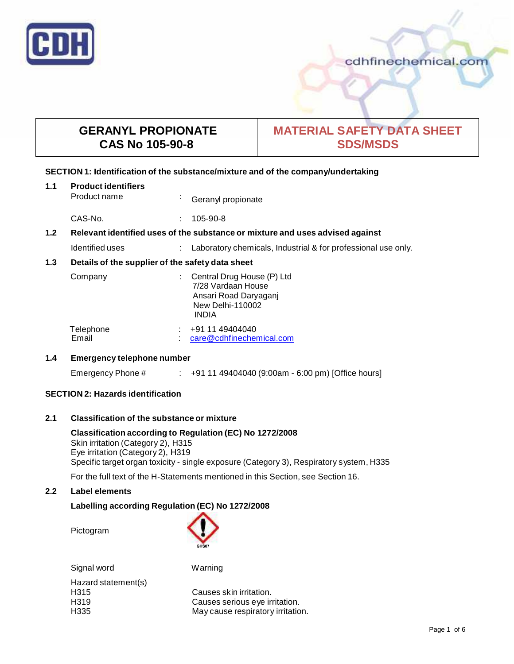

# cdhfinechemical.com

# **GERANYL PROPIONATE CAS No 105-90-8**

# **MATERIAL SAFETY DATA SHEET SDS/MSDS**

# **SECTION 1: Identification of the substance/mixture and of the company/undertaking**

| 1.1   | <b>Product identifiers</b><br>Product name       |  | Geranyl propionate                                                                                                   |
|-------|--------------------------------------------------|--|----------------------------------------------------------------------------------------------------------------------|
|       | CAS-No.                                          |  | 105-90-8                                                                                                             |
| $1.2$ |                                                  |  | Relevant identified uses of the substance or mixture and uses advised against                                        |
|       | Identified uses                                  |  | Laboratory chemicals, Industrial & for professional use only.                                                        |
| 1.3   | Details of the supplier of the safety data sheet |  |                                                                                                                      |
|       | Company                                          |  | Central Drug House (P) Ltd<br>7/28 Vardaan House<br>Ansari Road Daryaganj<br><b>New Delhi-110002</b><br><b>INDIA</b> |
|       | Telephone<br>Email                               |  | +91 11 49404040<br>care@cdhfinechemical.com                                                                          |

# **1.4 Emergency telephone number**

Emergency Phone # : +91 11 49404040 (9:00am - 6:00 pm) [Office hours]

# **SECTION 2: Hazards identification**

# **2.1 Classification of the substance ormixture**

**Classification according to Regulation (EC) No 1272/2008** Skin irritation (Category 2), H315 Eye irritation (Category 2), H319 Specific target organ toxicity - single exposure (Category 3), Respiratory system, H335

For the full text of the H-Statements mentioned in this Section, see Section 16.

# **2.2 Label elements**

# **Labelling according Regulation (EC) No 1272/2008**

Pictogram



Signal word Warning Hazard statement(s) H315 Causes skin irritation. H319 Causes serious eye irritation. H335 May cause respiratory irritation.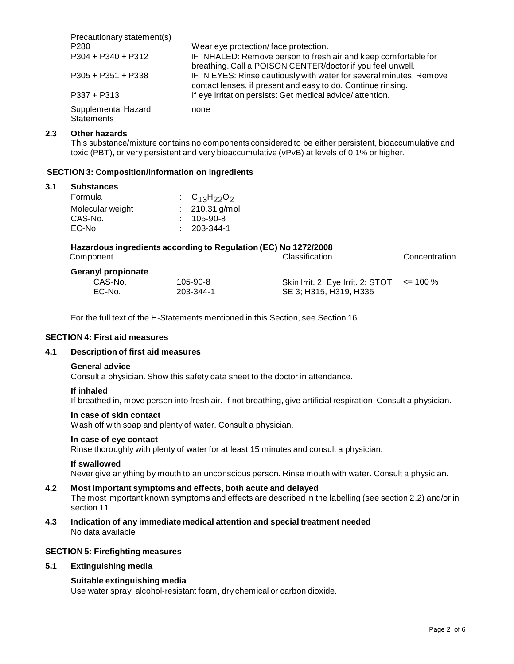| Precautionary statement(s)               |                                                                                                                                     |
|------------------------------------------|-------------------------------------------------------------------------------------------------------------------------------------|
| P <sub>280</sub>                         | Wear eye protection/face protection.                                                                                                |
| $P304 + P340 + P312$                     | IF INHALED: Remove person to fresh air and keep comfortable for<br>breathing. Call a POISON CENTER/doctor if you feel unwell.       |
| $P305 + P351 + P338$                     | IF IN EYES: Rinse cautiously with water for several minutes. Remove<br>contact lenses, if present and easy to do. Continue rinsing. |
| $P337 + P313$                            | If eye irritation persists: Get medical advice/attention.                                                                           |
| Supplemental Hazard<br><b>Statements</b> | none                                                                                                                                |

# **2.3 Other hazards**

This substance/mixture contains no components considered to be either persistent, bioaccumulative and toxic (PBT), or very persistent and very bioaccumulative (vPvB) at levels of 0.1% or higher.

## **SECTION 3: Composition/information on ingredients**

#### **3.1 Substances**

| : $C_{13}H_{22}O_2$ |
|---------------------|
| $: 210.31$ g/mol    |
| $: 105 - 90 - 8$    |
| $: 203 - 344 - 1$   |
|                     |

| Hazardous ingredients according to Regulation (EC) No 1272/2008 |                |                                                 |               |
|-----------------------------------------------------------------|----------------|-------------------------------------------------|---------------|
| Component                                                       |                | Classification                                  | Concentration |
| <b>Geranyl propionate</b>                                       |                |                                                 |               |
| CAS-No.                                                         | $105 - 90 - 8$ | Skin Irrit. 2; Eye Irrit. 2; STOT $\le$ = 100 % |               |
| EC-No.                                                          | 203-344-1      | SE 3: H315, H319, H335                          |               |

For the full text of the H-Statements mentioned in this Section, see Section 16.

# **SECTION 4: First aid measures**

# **4.1 Description of first aid measures**

#### **General advice**

Consult a physician. Show this safety data sheet to the doctor in attendance.

#### **If inhaled**

If breathed in, move person into fresh air. If not breathing, give artificial respiration. Consult a physician.

#### **In case of skin contact**

Wash off with soap and plenty of water. Consult a physician.

### **In case of eye contact**

Rinse thoroughly with plenty of water for at least 15 minutes and consult a physician.

#### **If swallowed**

Never give anything by mouth to an unconscious person. Rinse mouth with water. Consult a physician.

## **4.2 Most important symptoms and effects, both acute and delayed**

The most important known symptoms and effects are described in the labelling (see section 2.2) and/or in section 11

# **4.3 Indication of any immediate medical attention and special treatment needed** No data available

# **SECTION 5: Firefighting measures**

## **5.1 Extinguishing media**

## **Suitable extinguishing media**

Use water spray, alcohol-resistant foam, dry chemical or carbon dioxide.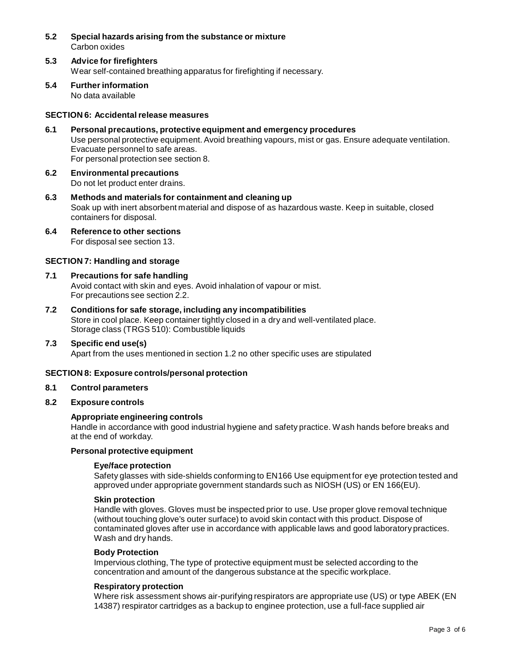- **5.2 Special hazards arising from the substance ormixture** Carbon oxides
- **5.3 Advice for firefighters** Wear self-contained breathing apparatus for firefighting if necessary.
- **5.4 Further information** No data available

# **SECTION 6: Accidentalrelease measures**

- **6.1 Personal precautions, protective equipment and emergency procedures** Use personal protective equipment. Avoid breathing vapours, mist or gas. Ensure adequate ventilation. Evacuate personnel to safe areas. For personal protection see section 8.
- **6.2 Environmental precautions** Do not let product enter drains.
- **6.3 Methods and materials for containment and cleaning up** Soak up with inert absorbent material and dispose of as hazardous waste. Keep in suitable, closed containers for disposal.
- **6.4 Reference to other sections** For disposal see section 13.

## **SECTION 7: Handling and storage**

- **7.1 Precautions for safe handling** Avoid contact with skin and eyes. Avoid inhalation of vapour or mist. For precautions see section 2.2.
- **7.2 Conditions for safe storage, including any incompatibilities** Store in cool place. Keep container tightly closed in a dry and well-ventilated place. Storage class (TRGS 510): Combustible liquids
- **7.3 Specific end use(s)** Apart from the uses mentioned in section 1.2 no other specific uses are stipulated

## **SECTION 8: Exposure controls/personal protection**

## **8.1 Control parameters**

# **8.2 Exposure controls**

## **Appropriate engineering controls**

Handle in accordance with good industrial hygiene and safety practice. Wash hands before breaks and at the end of workday.

## **Personal protective equipment**

## **Eye/face protection**

Safety glasses with side-shields conforming to EN166 Use equipment for eye protection tested and approved under appropriate government standards such as NIOSH (US) or EN 166(EU).

### **Skin protection**

Handle with gloves. Gloves must be inspected prior to use. Use proper glove removal technique (without touching glove's outer surface) to avoid skin contact with this product. Dispose of contaminated gloves after use in accordance with applicable laws and good laboratory practices. Wash and dry hands.

## **Body Protection**

Impervious clothing, The type of protective equipment must be selected according to the concentration and amount of the dangerous substance at the specific workplace.

# **Respiratory protection**

Where risk assessment shows air-purifying respirators are appropriate use (US) or type ABEK (EN 14387) respirator cartridges as a backup to enginee protection, use a full-face supplied air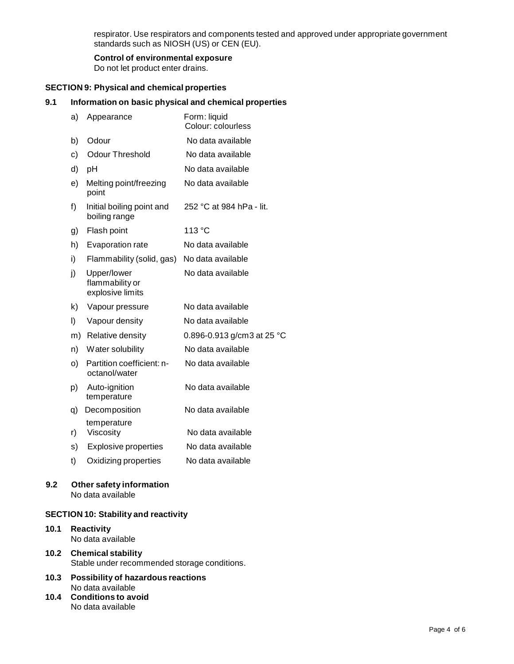respirator. Use respirators and components tested and approved under appropriate government standards such as NIOSH (US) or CEN (EU).

# **Control of environmental exposure**

Do not let product enter drains.

# **SECTION 9: Physical and chemical properties**

# **9.1 Information on basic physical and chemical properties**

| a) | Appearance                                         | Form: liquid<br>Colour: colourless |
|----|----------------------------------------------------|------------------------------------|
| b) | Odour                                              | No data available                  |
| c) | Odour Threshold                                    | No data available                  |
| d) | pH                                                 | No data available                  |
| e) | Melting point/freezing<br>point                    | No data available                  |
| f) | Initial boiling point and<br>boiling range         | 252 °C at 984 hPa - lit.           |
| g) | Flash point                                        | 113 °C                             |
| h) | Evaporation rate                                   | No data available                  |
| i) | Flammability (solid, gas)                          | No data available                  |
| j) | Upper/lower<br>flammability or<br>explosive limits | No data available                  |
| k) | Vapour pressure                                    | No data available                  |
| I) | Vapour density                                     | No data available                  |
| m) | Relative density                                   | 0.896-0.913 g/cm3 at 25 °C         |
| n) | Water solubility                                   | No data available                  |
| o) | Partition coefficient: n-<br>octanol/water         | No data available                  |
| p) | Auto-ignition<br>temperature                       | No data available                  |
| q) | Decomposition                                      | No data available                  |
| r) | temperature<br>Viscosity                           | No data available                  |
| s) | <b>Explosive properties</b>                        | No data available                  |
| t) | Oxidizing properties                               | No data available                  |

### **9.2 Other safety information** No data available

# **SECTION 10: Stability and reactivity**

# **10.1 Reactivity** No data available

**10.2 Chemical stability** Stable under recommended storage conditions.

- **10.3 Possibility of hazardous reactions** No data available
- **10.4 Conditions to avoid** No data available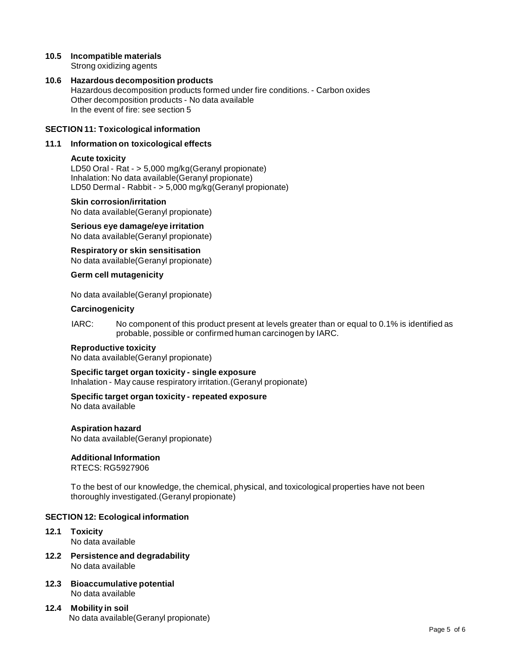## **10.5 Incompatible materials** Strong oxidizing agents

# **10.6 Hazardous decomposition products** Hazardous decomposition products formed under fire conditions. - Carbon oxides Other decomposition products - No data available In the event of fire: see section 5

# **SECTION 11: Toxicological information**

# **11.1 Information on toxicological effects**

# **Acute toxicity**

LD50 Oral - Rat - > 5,000 mg/kg(Geranyl propionate) Inhalation: No data available(Geranyl propionate) LD50 Dermal - Rabbit - > 5,000 mg/kg(Geranyl propionate)

## **Skin corrosion/irritation**

No data available(Geranyl propionate)

**Serious eye damage/eye irritation** No data available(Geranyl propionate)

**Respiratory orskin sensitisation** No data available(Geranyl propionate)

# **Germ cell mutagenicity**

No data available(Geranyl propionate)

# **Carcinogenicity**

IARC: No component of this product present at levels greater than or equal to 0.1% is identified as probable, possible or confirmed human carcinogen by IARC.

# **Reproductive toxicity**

No data available(Geranyl propionate)

# **Specific target organ toxicity - single exposure**

Inhalation - May cause respiratory irritation.(Geranyl propionate)

# **Specific target organ toxicity - repeated exposure**

No data available

# **Aspiration hazard**

No data available(Geranyl propionate)

# **Additional Information**

RTECS: RG5927906

To the bestof our knowledge, the chemical, physical, and toxicological properties have not been thoroughly investigated.(Geranyl propionate)

# **SECTION 12: Ecological information**

- **12.1 Toxicity** No data available
- **12.2 Persistence and degradability** No data available
- **12.3 Bioaccumulative potential** No data available
- **12.4 Mobility in soil** No data available(Geranyl propionate)